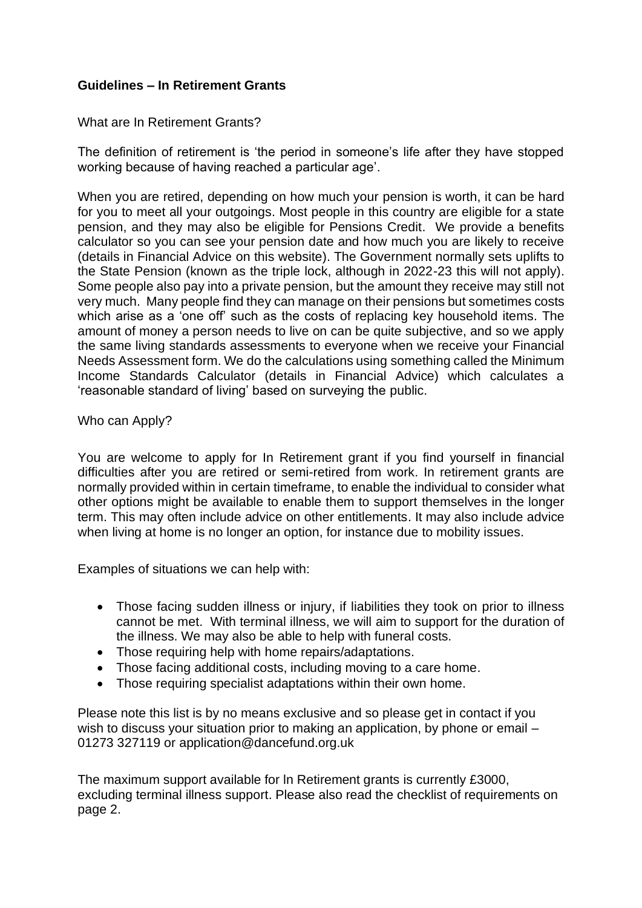## **Guidelines – In Retirement Grants**

## What are In Retirement Grants?

The definition of retirement is 'the period in someone's life after they have stopped working because of having reached a particular age'.

When you are retired, depending on how much your pension is worth, it can be hard for you to meet all your outgoings. Most people in this country are eligible for a state pension, and they may also be eligible for Pensions Credit. We provide a benefits calculator so you can see your pension date and how much you are likely to receive (details in Financial Advice on this website). The Government normally sets uplifts to the State Pension (known as the triple lock, although in 2022-23 this will not apply). Some people also pay into a private pension, but the amount they receive may still not very much. Many people find they can manage on their pensions but sometimes costs which arise as a 'one off' such as the costs of replacing key household items. The amount of money a person needs to live on can be quite subjective, and so we apply the same living standards assessments to everyone when we receive your Financial Needs Assessment form. We do the calculations using something called the Minimum Income Standards Calculator (details in Financial Advice) which calculates a 'reasonable standard of living' based on surveying the public.

## Who can Apply?

You are welcome to apply for In Retirement grant if you find yourself in financial difficulties after you are retired or semi-retired from work. In retirement grants are normally provided within in certain timeframe, to enable the individual to consider what other options might be available to enable them to support themselves in the longer term. This may often include advice on other entitlements. It may also include advice when living at home is no longer an option, for instance due to mobility issues.

Examples of situations we can help with:

- Those facing sudden illness or injury, if liabilities they took on prior to illness cannot be met. With terminal illness, we will aim to support for the duration of the illness. We may also be able to help with funeral costs.
- Those requiring help with home repairs/adaptations.
- Those facing additional costs, including moving to a care home.
- Those requiring specialist adaptations within their own home.

Please note this list is by no means exclusive and so please get in contact if you wish to discuss your situation prior to making an application, by phone or email – 01273 327119 or application@dancefund.org.uk

The maximum support available for ln Retirement grants is currently £3000, excluding terminal illness support. Please also read the checklist of requirements on page 2.